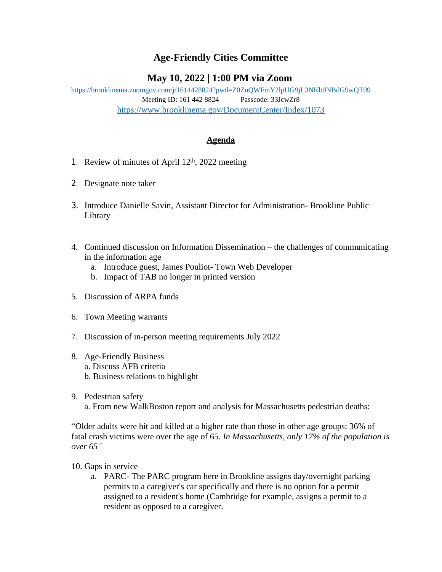## **Age-Friendly Cities Committee**

## **May 10, 2022 | 1:00 PM via Zoom**

<https://brooklinema.zoomgov.com/j/1614428824?pwd=Z0ZuQWFmY2lpUG9jL3NKb0NBdG9wQT09> Meeting ID: 161 442 8824 Passcode: 33JcwZr8 <https://www.brooklinema.gov/DocumentCenter/Index/1073>

## **Agenda**

- 1. Review of minutes of April  $12<sup>th</sup>$ , 2022 meeting
- 2. Designate note taker
- 3. Introduce Danielle Savin, Assistant Director for Administration- Brookline Public Library
- 4. Continued discussion on Information Dissemination the challenges of communicating in the information age
	- a. Introduce guest, James Pouliot- Town Web Developer
	- b. Impact of TAB no longer in printed version
- 5. Discussion of ARPA funds
- 6. Town Meeting warrants
- 7. Discussion of in-person meeting requirements July 2022
- 8. Age-Friendly Business a. Discuss AFB criteria b. Business relations to highlight
- 9. Pedestrian safety a. From new WalkBoston report and analysis for Massachusetts pedestrian deaths:

"Older adults were hit and killed at a higher rate than those in other age groups: 36% of fatal crash victims were over the age of 65. *In Massachusetts, only 17% of the population is over 65"*

## 10. Gaps in service

a. PARC- The PARC program here in Brookline assigns day/overnight parking permits to a caregiver's car specifically and there is no option for a permit assigned to a resident's home (Cambridge for example, assigns a permit to a resident as opposed to a caregiver.